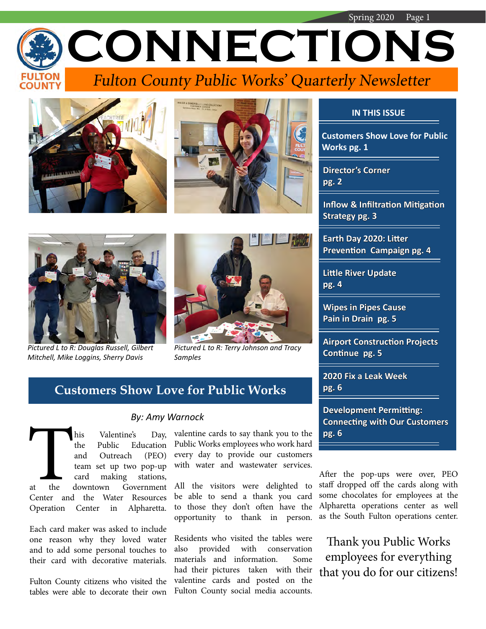Spring 2020 Page 1 **CONNECTIONS** Fulton County Public Works' Quarterly Newsletter







*Pictured L to R: Douglas Russell, Gilbert Mitchell, Mike Loggins, Sherry Davis*



*Pictured L to R: Terry Johnson and Tracy Samples*

## **Customers Show Love for Public Works**

his Valentine's Day,<br>the Public Education<br>and Outreach (PEO)<br>team set up two pop-up<br>card making stations,<br>at the downtown Government<br>Center and the Water Resources the Public Education and Outreach (PEO) team set up two pop-up card making stations, at the downtown Government Center and the Water Resources Operation Center in Alpharetta.

Each card maker was asked to include one reason why they loved water and to add some personal touches to their card with decorative materials.

Fulton County citizens who visited the tables were able to decorate their own

#### *By: Amy Warnock*

valentine cards to say thank you to the **pg. 6** Public Works employees who work hard every day to provide our customers with water and wastewater services.

All the visitors were delighted to be able to send a thank you card to those they don't often have the opportunity to thank in person.

Residents who visited the tables were also provided with conservation materials and information. Some had their pictures taken with their valentine cards and posted on the Fulton County social media accounts.

## **IN THIS ISSUE**

**Customers Show Love for Public Works pg. 1**

 **Director's Corner pg. 2**

 **Inflow & Infiltration Mitigation Strategy pg. 3**

 **Earth Day 2020: Litter Prevention Campaign pg. 4**

 **Little River Update pg. 4**

 **Wipes in Pipes Cause Pain in Drain pg. 5**

 **Airport Construction Projects Continue pg. 5**

 **2020 Fix a Leak Week pg. 6**

 **Development Permitting: Connecting with Our Customers**

After the pop-ups were over, PEO staff dropped off the cards along with some chocolates for employees at the Alpharetta operations center as well as the South Fulton operations center.

Thank you Public Works employees for everything that you do for our citizens!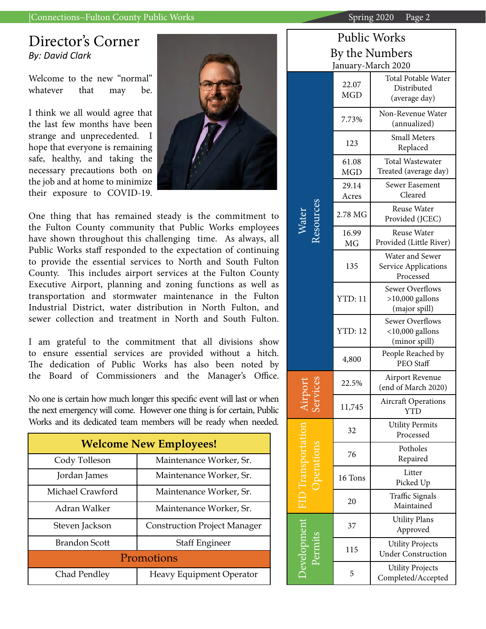### |Connections~Fulton County Public Works

## Director's Corner *By: David Clark*

Welcome to the new "normal" whatever that may be.

I think we all would agree that the last few months have been strange and unprecedented. I hope that everyone is remaining safe, healthy, and taking the necessary precautions both on the job and at home to minimize their exposure to COVID-19.



One thing that has remained steady is the commitment to the Fulton County community that Public Works employees have shown throughout this challenging time. As always, all Public Works staff responded to the expectation of continuing to provide the essential services to North and South Fulton County. This includes airport services at the Fulton County Executive Airport, planning and zoning functions as well as transportation and stormwater maintenance in the Fulton Industrial District, water distribution in North Fulton, and sewer collection and treatment in North and South Fulton.

I am grateful to the commitment that all divisions show to ensure essential services are provided without a hitch. The dedication of Public Works has also been noted by the Board of Commissioners and the Manager's Office.

No one is certain how much longer this specific event will last or when the next emergency will come. However one thing is for certain, Public Works and its dedicated team members will be ready when needed.

| <b>Welcome New Employees!</b> |                                     |  |
|-------------------------------|-------------------------------------|--|
| Cody Tolleson                 | Maintenance Worker, Sr.             |  |
| Jordan James                  | Maintenance Worker, Sr.             |  |
| Michael Crawford              | Maintenance Worker, Sr.             |  |
| Adran Walker                  | Maintenance Worker, Sr.             |  |
| Steven Jackson                | <b>Construction Project Manager</b> |  |
| <b>Brandon Scott</b>          | <b>Staff Engineer</b>               |  |
| Promotions                    |                                     |  |
| Chad Pendley                  | Heavy Equipment Operator            |  |

| Spring $2020$ Page 2    |  |
|-------------------------|--|
|                         |  |
| <b>Public Works</b>     |  |
| $\sim$ + $\sim$ M-makes |  |

| By the Numbers<br>January-March 2020 |                     |                                                               |
|--------------------------------------|---------------------|---------------------------------------------------------------|
|                                      | 22.07<br><b>MGD</b> | <b>Total Potable Water</b><br>Distributed<br>(average day)    |
|                                      | 7.73%               | Non-Revenue Water<br>(annualized)                             |
|                                      | 123                 | <b>Small Meters</b><br>Replaced                               |
|                                      | 61.08<br><b>MGD</b> | <b>Total Wastewater</b><br>Treated (average day)              |
|                                      | 29.14<br>Acres      | Sewer Easement<br>Cleared                                     |
| esource<br>$\sqrt{\rm{ater}}$        | 2.78 MG             | Reuse Water<br>Provided (JCEC)                                |
|                                      | 16.99<br><b>MG</b>  | Reuse Water<br>Provided (Little River)                        |
|                                      | 135                 | Water and Sewer<br>Service Applications<br>Processed          |
|                                      | <b>YTD: 11</b>      | <b>Sewer Overflows</b><br>$>10,000$ gallons<br>(major spill)  |
|                                      | <b>YTD: 12</b>      | <b>Sewer Overflows</b><br>$<$ 10,000 gallons<br>(minor spill) |
|                                      | 4,800               | People Reached by<br>PEO Staff                                |
|                                      | 22.5%               | Airport Revenue<br>(end of March 2020)                        |
|                                      | 11,745              | <b>Aircraft Operations</b><br><b>YTD</b>                      |
|                                      | 32                  | <b>Utility Permits</b><br>Processed                           |
|                                      | 76                  | Potholes<br>Repaired                                          |
|                                      | 16 Tons             | Litter<br>Picked Up                                           |
|                                      | 20                  | Traffic Signals<br>Maintained                                 |
|                                      | 37                  | <b>Utility Plans</b><br>Approved                              |
| <b>Development</b>                   | 115                 | <b>Utility Projects</b><br><b>Under Construction</b>          |
|                                      | 5                   | <b>Utility Projects</b><br>Completed/Accepted                 |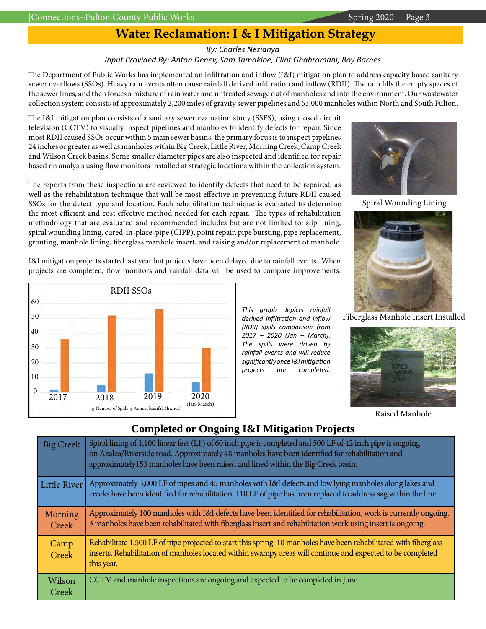### *By: Charles Nezianya Input Provided By: Anton Denev, Sam Tamakloe, Clint Ghahramani, Roy Barnes*

The Department of Public Works has implemented an infiltration and inflow (I&I) mitigation plan to address capacity based sanitary sewer overflows (SSOs). Heavy rain events often cause rainfall derived infiltration and inflow (RDII). The rain fills the empty spaces of the sewer lines, and then forces a mixture of rain water and untreated sewage out of manholes and into the environment. Our wastewater collection system consists of approximately 2,200 miles of gravity sewer pipelines and 63,000 manholes within North and South Fulton.

The I&I mitigation plan consists of a sanitary sewer evaluation study (SSES), using closed circuit television (CCTV) to visually inspect pipelines and manholes to identify defects for repair. Since most RDII caused SSOs occur within 5 main sewer basins, the primary focus is to inspect pipelines 24 inches or greater as well as manholes within Big Creek, Little River, Morning Creek, Camp Creek and Wilson Creek basins. Some smaller diameter pipes are also inspected and identified for repair based on analysis using flow monitors installed at strategic locations within the collection system.

The reports from these inspections are reviewed to identify defects that need to be repaired, as well as the rehabilitation technique that will be most effective in preventing future RDII caused SSOs for the defect type and location. Each rehabilitation technique is evaluated to determine the most efficient and cost effective method needed for each repair. The types of rehabilitation methodology that are evaluated and recommended includes but are not limited to: slip lining, spiral wounding lining, cured-in-place-pipe (CIPP), point repair, pipe bursting, pipe replacement, grouting, manhole lining, fiberglass manhole insert, and raising and/or replacement of manhole.

Spiral Wounding Lining





Raised Manhole

I&I mitigation projects started last year but projects have been delayed due to rainfall events. When projects are completed, flow monitors and rainfall data will be used to compare improvements.



*This graph depicts rainfall derived infiltration and inflow (RDII) spills comparison from 2017 – 2020 (Jan – March). The spills were driven by rainfall events and will reduce significantly once I&I mitigation projects are completed.* 

## **Completed or Ongoing I&I Mitigation Projects**

| <b>Big Creek</b>    | Spiral lining of 1,100 linear feet (LF) of 60 inch pipe is completed and 500 LF of 42 inch pipe is ongoing<br>on Azalea/Riverside road. Approximately 48 manholes have been identified for rehabilitation and<br>approximately153 manholes have been raised and lined within the Big Creek basin. |
|---------------------|---------------------------------------------------------------------------------------------------------------------------------------------------------------------------------------------------------------------------------------------------------------------------------------------------|
| <b>Little River</b> | Approximately 3,000 LF of pipes and 45 manholes with I&I defects and low lying manholes along lakes and<br>creeks have been identified for rehabilitation. 110 LF of pipe has been replaced to address sag within the line.                                                                       |
| Morning<br>Creek    | Approximately 100 manholes with I&I defects have been identified for rehabilitation, work is currently ongoing.<br>3 manholes have been rehabilitated with fiberglass insert and rehabilitation work using insert is ongoing.                                                                     |
| Camp<br>Creek       | Rehabilitate 1,500 LF of pipe projected to start this spring. 10 manholes have been rehabilitated with fiberglass<br>inserts. Rehabilitation of manholes located within swampy areas will continue and expected to be completed<br>this year.                                                     |
| Wilson<br>Creek     | CCTV and manhole inspections are ongoing and expected to be completed in June.                                                                                                                                                                                                                    |

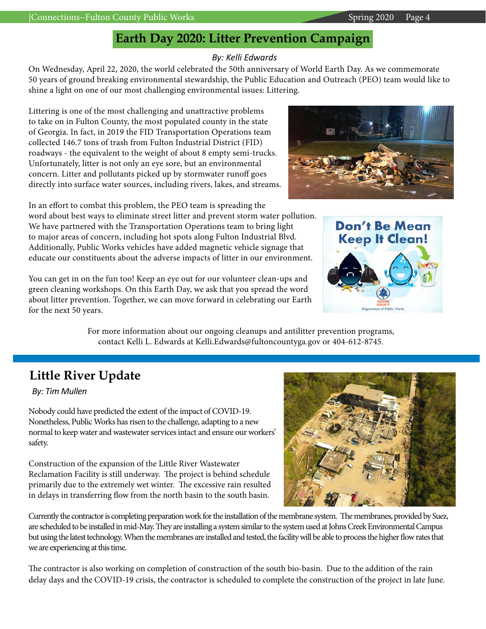## **Earth Day 2020: Litter Prevention Campaign**

## *By: Kelli Edwards*

On Wednesday, April 22, 2020, the world celebrated the 50th anniversary of World Earth Day. As we commemorate 50 years of ground breaking environmental stewardship, the Public Education and Outreach (PEO) team would like to shine a light on one of our most challenging environmental issues: Littering.

Littering is one of the most challenging and unattractive problems to take on in Fulton County, the most populated county in the state of Georgia. In fact, in 2019 the FID Transportation Operations team collected 146.7 tons of trash from Fulton Industrial District (FID) roadways - the equivalent to the weight of about 8 empty semi-trucks. Unfortunately, litter is not only an eye sore, but an environmental concern. Litter and pollutants picked up by stormwater runoff goes directly into surface water sources, including rivers, lakes, and streams.

In an effort to combat this problem, the PEO team is spreading the word about best ways to eliminate street litter and prevent storm water pollution. We have partnered with the Transportation Operations team to bring light to major areas of concern, including hot spots along Fulton Industrial Blvd. Additionally, Public Works vehicles have added magnetic vehicle signage that educate our constituents about the adverse impacts of litter in our environment.

You can get in on the fun too! Keep an eye out for our volunteer clean-ups and green cleaning workshops. On this Earth Day, we ask that you spread the word about litter prevention. Together, we can move forward in celebrating our Earth for the next 50 years.

> For more information about our ongoing cleanups and antilitter prevention programs, contact Kelli L. Edwards at Kelli.Edwards@fultoncountyga.gov or 404-612-8745.

# **Little River Update**

*By: Tim Mullen*

Nobody could have predicted the extent of the impact of COVID-19. Nonetheless, Public Works has risen to the challenge, adapting to a new normal to keep water and wastewater services intact and ensure our workers' safety.

Construction of the expansion of the Little River Wastewater Reclamation Facility is still underway. The project is behind schedule primarily due to the extremely wet winter. The excessive rain resulted in delays in transferring flow from the north basin to the south basin.

Currently the contractor is completing preparation work for the installation of the membrane system. The membranes, provided by Suez, are scheduled to be installed in mid-May. They are installing a system similar to the system used at Johns Creek Environmental Campus but using the latest technology. When the membranes are installed and tested, the facility will be able to process the higher flow rates that we are experiencing at this time.

The contractor is also working on completion of construction of the south bio-basin. Due to the addition of the rain delay days and the COVID-19 crisis, the contractor is scheduled to complete the construction of the project in late June.







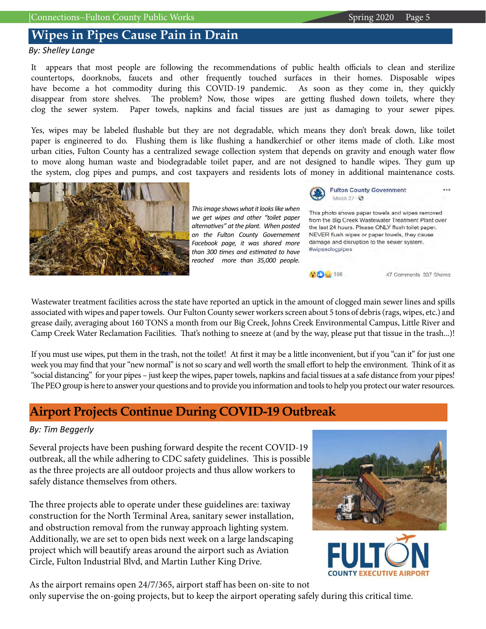## **Wipes in Pipes Cause Pain in Drain**

*By: Shelley Lange*

It appears that most people are following the recommendations of public health officials to clean and sterilize countertops, doorknobs, faucets and other frequently touched surfaces in their homes. Disposable wipes have become a hot commodity during this COVID-19 pandemic. As soon as they come in, they quickly disappear from store shelves. The problem? Now, those wipes are getting flushed down toilets, where they clog the sewer system. Paper towels, napkins and facial tissues are just as damaging to your sewer pipes.

Yes, wipes may be labeled flushable but they are not degradable, which means they don't break down, like toilet paper is engineered to do. Flushing them is like flushing a handkerchief or other items made of cloth. Like most urban cities, Fulton County has a centralized sewage collection system that depends on gravity and enough water flow to move along human waste and biodegradable toilet paper, and are not designed to handle wipes. They gum up the system, clog pipes and pumps, and cost taxpayers and residents lots of money in additional maintenance costs.



*This image shows what it looks like when we get wipes and other "toilet paper alternatives" at the plant. When posted on the Fulton County Governement Facebook page, it was shared more than 300 times and estimated to have reached more than 35,000 people.*



**Fulton County Government** March 27

This photo shows paper towels and wipes removed from the Big Creek Wastewater Treatment Plant over the last 24 hours. Please ONLY flush toilet paper. NEVER flush wipes or paper towels, they cause damage and disruption to the sewer system. #wipesclogpipes



47 Comments 337 Shares

...

Wastewater treatment facilities across the state have reported an uptick in the amount of clogged main sewer lines and spills associated with wipes and paper towels. Our Fulton County sewer workers screen about 5 tons of debris (rags, wipes, etc.) and grease daily, averaging about 160 TONS a month from our Big Creek, Johns Creek Environmental Campus, Little River and Camp Creek Water Reclamation Facilities. That's nothing to sneeze at (and by the way, please put that tissue in the trash...)!

If you must use wipes, put them in the trash, not the toilet! At first it may be a little inconvenient, but if you "can it" for just one week you may find that your "new normal" is not so scary and well worth the small effort to help the environment. Think of it as "social distancing" for your pipes – just keep the wipes, paper towels, napkins and facial tissues at a safe distance from your pipes! The PEO group is here to answer your questions and to provide you information and tools to help you protect our water resources.

## **Airport Projects Continue During COVID-19 Outbreak**

## *By: Tim Beggerly*

Several projects have been pushing forward despite the recent COVID-19 outbreak, all the while adhering to CDC safety guidelines. This is possible as the three projects are all outdoor projects and thus allow workers to safely distance themselves from others.

The three projects able to operate under these guidelines are: taxiway construction for the North Terminal Area, sanitary sewer installation, and obstruction removal from the runway approach lighting system. Additionally, we are set to open bids next week on a large landscaping project which will beautify areas around the airport such as Aviation Circle, Fulton Industrial Blvd, and Martin Luther King Drive.





As the airport remains open 24/7/365, airport staff has been on-site to not

only supervise the on-going projects, but to keep the airport operating safely during this critical time.